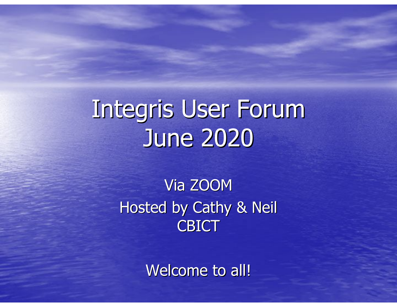## Integris User Forum June 2020

#### Via ZOOM Hosted by Cathy & Neil **CBICT**

Welcome to all!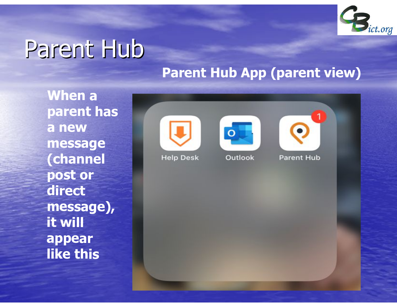

#### **Parent Hub App (parent view)**

**When a parent has a new message (channel post or direct message), it will appear like this**



**Help Desk** 

Outlook

**Parent Hub**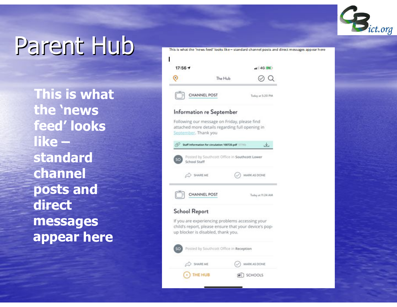

**This is what the 'news feed' looks like – standard channel posts and direct messages appear here**

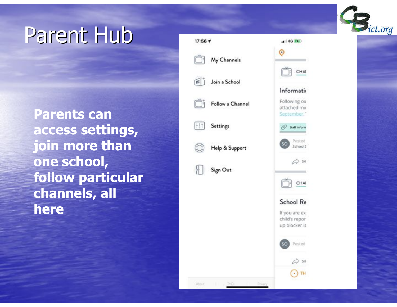**Parents can access settings, join more than one school, follow particular channels, all here**



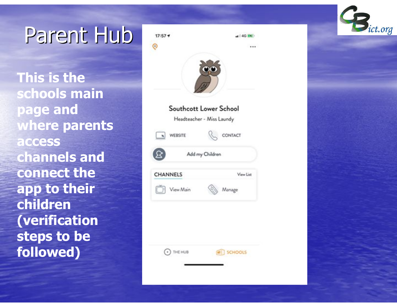**This is the schools main page and where parents access channels and connect the app to their children (verification steps to be followed)**



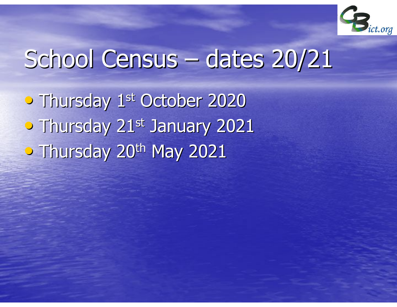

## School Census – dates 20/21

• Thursday 1st October 2020 • Thursday 21st January 2021 • Thursday 20<sup>th</sup> May 2021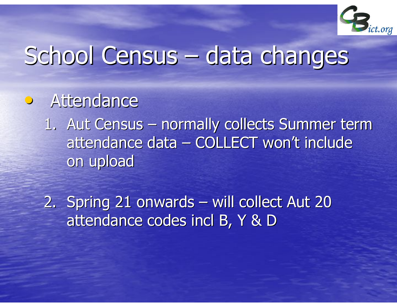

## School Census – data changes

#### • Attendance

1. Aut Census – normally collects Summer term attendance data – COLLECT won't include on upload

2. Spring 21 onwards – will collect Aut 20 attendance codes incl B, Y & D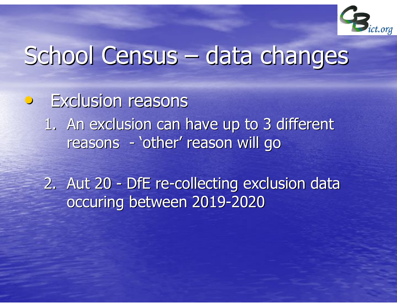

## School Census – data changes

**• Exclusion reasons** 1. An exclusion can have up to 3 different reasons - 'other' reason will go

2. Aut 20 - DfE re-collecting exclusion data occuring between 2019-2020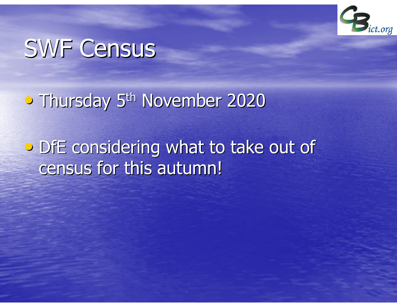

# SWF Census

• Thursday 5<sup>th</sup> November 2020

**• DfE considering what to take out of** census for this autumn!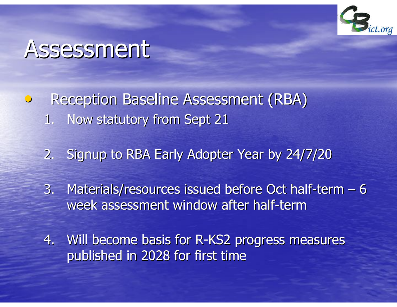

#### Assessment

- Reception Baseline Assessment (RBA) 1. Now statutory from Sept 21
	- 2. Signup to RBA Early Adopter Year by 24/7/20
	- 3. Materials/resources issued before Oct half-term  $-6$ week assessment window after half-term
	- 4. Will become basis for R-KS2 progress measures published in 2028 for first time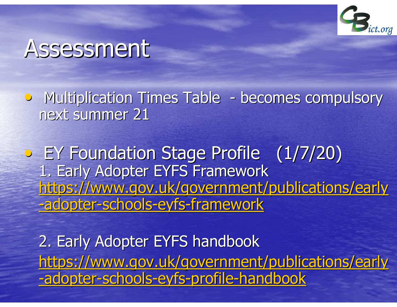

#### Assessment

• Multiplication Times Table - becomes compulsory next summer 21

• EY Foundation Stage Profile (1/7/20) 1. Early Adopter EYFS Framework https://www.gov.uk/government/publications/early https://www.gov.uk/government/publications/early -adopter-schools-eyfs-framework

2. Early Adopter EYFS handbook 2. Early Adopter EYFS handbook https://www.gov.uk/government/publications/early https://www.gov.uk/government/publications/early -adopter-schools-eyfs-profile-handbook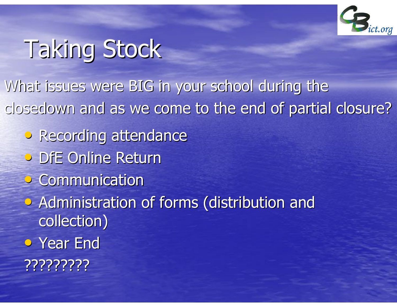

# **Taking Stock**

What issues were BIG in your school during the closedown and as we come to the end of partial closure?

- Recording attendance
- DfE Online Return
- Communication
- Administration of forms (distribution and collection)
- Year End ?????????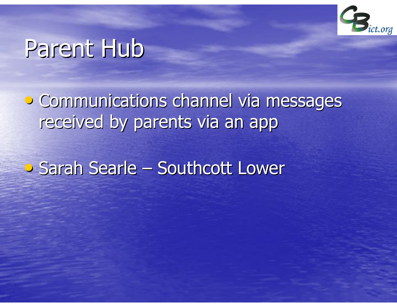

• Communications channel via messages received by parents via an app

• Sarah Searle – Southcott Lower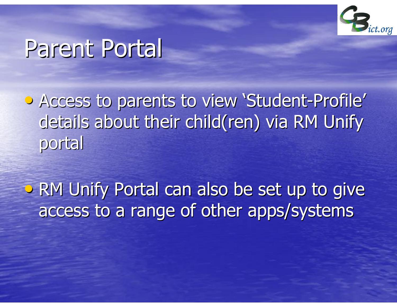

#### Parent Portal

• Access to parents to view 'Student-Profile' details about their child(ren) via RM Unify portal

• RM Unify Portal can also be set up to give access to a range of other apps/systems access to a range of other apps/systems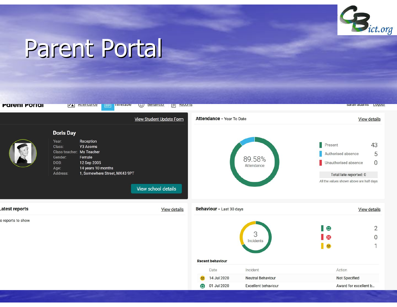

### Parent Portal

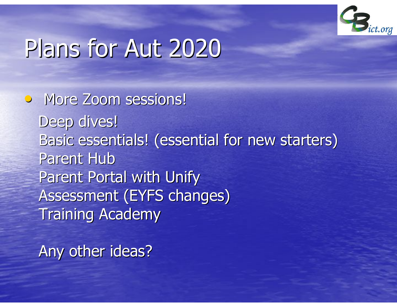

### Plans for Aut 2020

• More Zoom sessions! Deep dives! Basic essentials! (essential for new starters) Parent Hub Parent Portal with Unify Assessment (EYFS changes) **Training Academy** 

Any other ideas?